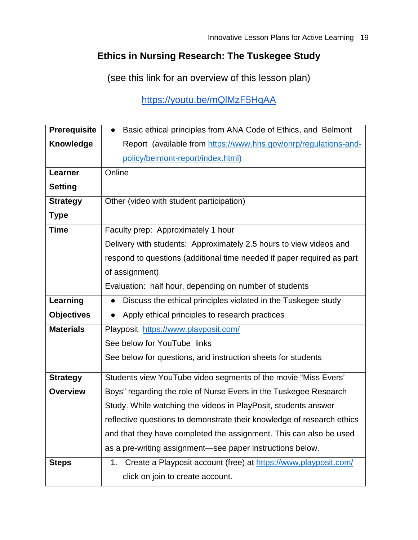## **Ethics in Nursing Research: The Tuskegee Study**

(see this link for an overview of this lesson plan)

<https://youtu.be/mQlMzF5HqAA>

| <b>Prerequisite</b> | Basic ethical principles from ANA Code of Ethics, and Belmont<br>$\bullet$ |  |  |  |  |
|---------------------|----------------------------------------------------------------------------|--|--|--|--|
| <b>Knowledge</b>    | Report (available from https://www.hhs.gov/ohrp/regulations-and-           |  |  |  |  |
|                     | policy/belmont-report/index.html)                                          |  |  |  |  |
| Learner             | Online                                                                     |  |  |  |  |
| <b>Setting</b>      |                                                                            |  |  |  |  |
| <b>Strategy</b>     | Other (video with student participation)                                   |  |  |  |  |
| <b>Type</b>         |                                                                            |  |  |  |  |
| <b>Time</b>         | Faculty prep: Approximately 1 hour                                         |  |  |  |  |
|                     | Delivery with students: Approximately 2.5 hours to view videos and         |  |  |  |  |
|                     | respond to questions (additional time needed if paper required as part     |  |  |  |  |
|                     | of assignment)                                                             |  |  |  |  |
|                     | Evaluation: half hour, depending on number of students                     |  |  |  |  |
| Learning            | Discuss the ethical principles violated in the Tuskegee study              |  |  |  |  |
| <b>Objectives</b>   | Apply ethical principles to research practices                             |  |  |  |  |
| <b>Materials</b>    | Playposit https://www.playposit.com/                                       |  |  |  |  |
|                     | See below for YouTube links                                                |  |  |  |  |
|                     | See below for questions, and instruction sheets for students               |  |  |  |  |
| <b>Strategy</b>     | Students view YouTube video segments of the movie "Miss Evers'             |  |  |  |  |
| <b>Overview</b>     | Boys" regarding the role of Nurse Evers in the Tuskegee Research           |  |  |  |  |
|                     | Study. While watching the videos in PlayPosit, students answer             |  |  |  |  |
|                     | reflective questions to demonstrate their knowledge of research ethics     |  |  |  |  |
|                     | and that they have completed the assignment. This can also be used         |  |  |  |  |
|                     | as a pre-writing assignment—see paper instructions below.                  |  |  |  |  |
| <b>Steps</b>        | Create a Playposit account (free) at https://www.playposit.com/<br>1.      |  |  |  |  |
|                     | click on join to create account.                                           |  |  |  |  |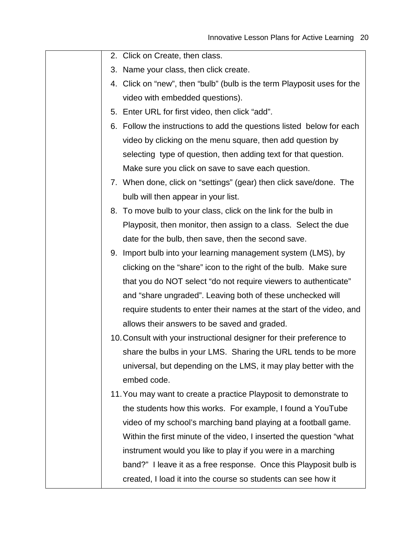- 2. Click on Create, then class.
- 3. Name your class, then click create.
- 4. Click on "new", then "bulb" (bulb is the term Playposit uses for the video with embedded questions).
- 5. Enter URL for first video, then click "add".
- 6. Follow the instructions to add the questions listed below for each video by clicking on the menu square, then add question by selecting type of question, then adding text for that question. Make sure you click on save to save each question.
- 7. When done, click on "settings" (gear) then click save/done. The bulb will then appear in your list.
- 8. To move bulb to your class, click on the link for the bulb in Playposit, then monitor, then assign to a class. Select the due date for the bulb, then save, then the second save.
- 9. Import bulb into your learning management system (LMS), by clicking on the "share" icon to the right of the bulb. Make sure that you do NOT select "do not require viewers to authenticate" and "share ungraded". Leaving both of these unchecked will require students to enter their names at the start of the video, and allows their answers to be saved and graded.
- 10.Consult with your instructional designer for their preference to share the bulbs in your LMS. Sharing the URL tends to be more universal, but depending on the LMS, it may play better with the embed code.
- 11.You may want to create a practice Playposit to demonstrate to the students how this works. For example, I found a YouTube video of my school's marching band playing at a football game. Within the first minute of the video, I inserted the question "what instrument would you like to play if you were in a marching band?" I leave it as a free response. Once this Playposit bulb is created, I load it into the course so students can see how it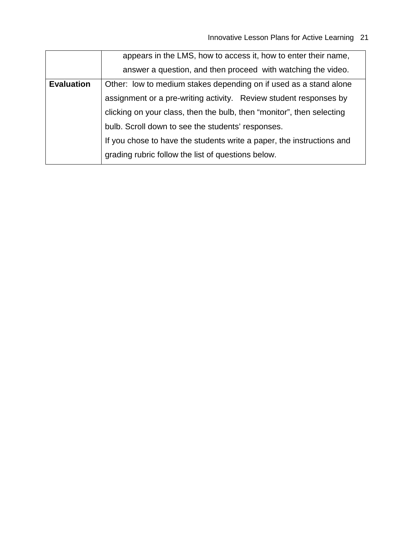|                   | appears in the LMS, how to access it, how to enter their name,        |  |  |  |  |
|-------------------|-----------------------------------------------------------------------|--|--|--|--|
|                   | answer a question, and then proceed with watching the video.          |  |  |  |  |
| <b>Evaluation</b> | Other: low to medium stakes depending on if used as a stand alone     |  |  |  |  |
|                   | assignment or a pre-writing activity. Review student responses by     |  |  |  |  |
|                   | clicking on your class, then the bulb, then "monitor", then selecting |  |  |  |  |
|                   | bulb. Scroll down to see the students' responses.                     |  |  |  |  |
|                   | If you chose to have the students write a paper, the instructions and |  |  |  |  |
|                   | grading rubric follow the list of questions below.                    |  |  |  |  |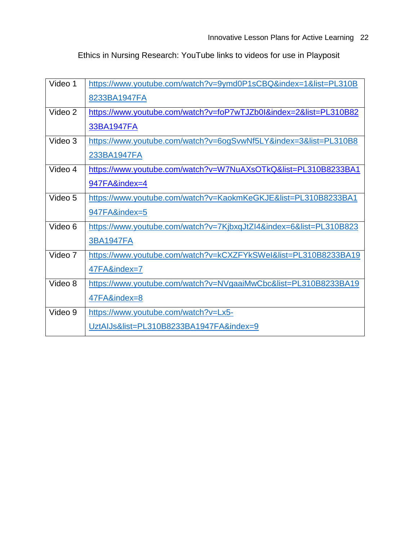Ethics in Nursing Research: YouTube links to videos for use in Playposit

| Video 1 | https://www.youtube.com/watch?v=9ymd0P1sCBQ&index=1&list=PL310B    |
|---------|--------------------------------------------------------------------|
|         | 8233BA1947FA                                                       |
| Video 2 | https://www.youtube.com/watch?v=foP7wTJZb0l&index=2&list=PL310B82  |
|         | 33BA1947FA                                                         |
| Video 3 | https://www.youtube.com/watch?v=6ogSvwNf5LY&index=3&list=PL310B8   |
|         | 233BA1947FA                                                        |
| Video 4 | https://www.youtube.com/watch?v=W7NuAXsOTkQ&list=PL310B8233BA1     |
|         | 947FA&index=4                                                      |
| Video 5 | https://www.youtube.com/watch?v=KaokmKeGKJE&list=PL310B8233BA1     |
|         | 947FA&index=5                                                      |
| Video 6 | https://www.youtube.com/watch?v=7KjbxqJtZl4&index=6&list=PL310B823 |
|         | <b>3BA1947FA</b>                                                   |
| Video 7 | https://www.youtube.com/watch?v=kCXZFYkSWel&list=PL310B8233BA19    |
|         | 47FA&index=7                                                       |
| Video 8 | https://www.youtube.com/watch?v=NVgaaiMwCbc&list=PL310B8233BA19    |
|         | 47FA&index=8                                                       |
| Video 9 | https://www.youtube.com/watch?v=Lx5-                               |
|         | UztAIJs&list=PL310B8233BA1947FA&index=9                            |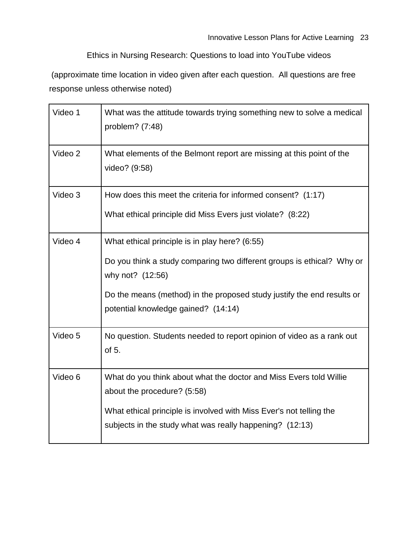Ethics in Nursing Research: Questions to load into YouTube videos

(approximate time location in video given after each question. All questions are free response unless otherwise noted)

| Video 1 | What was the attitude towards trying something new to solve a medical<br>problem? (7:48)                                                                                                                                                                      |
|---------|---------------------------------------------------------------------------------------------------------------------------------------------------------------------------------------------------------------------------------------------------------------|
| Video 2 | What elements of the Belmont report are missing at this point of the<br>video? (9:58)                                                                                                                                                                         |
| Video 3 | How does this meet the criteria for informed consent? (1:17)<br>What ethical principle did Miss Evers just violate? (8:22)                                                                                                                                    |
| Video 4 | What ethical principle is in play here? (6:55)<br>Do you think a study comparing two different groups is ethical? Why or<br>why not? (12:56)<br>Do the means (method) in the proposed study justify the end results or<br>potential knowledge gained? (14:14) |
| Video 5 | No question. Students needed to report opinion of video as a rank out<br>of 5.                                                                                                                                                                                |
| Video 6 | What do you think about what the doctor and Miss Evers told Willie<br>about the procedure? (5:58)<br>What ethical principle is involved with Miss Ever's not telling the<br>subjects in the study what was really happening? (12:13)                          |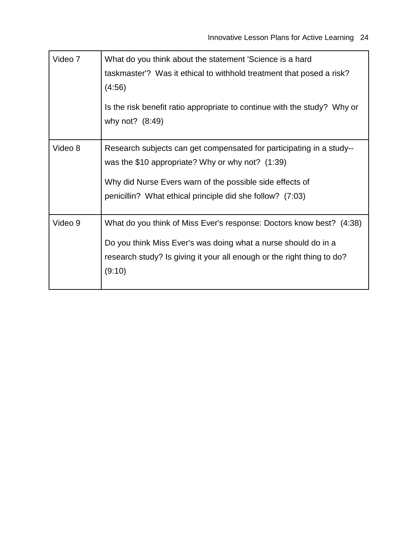| Video 7 | What do you think about the statement 'Science is a hard<br>taskmaster'? Was it ethical to withhold treatment that posed a risk?<br>(4:56)<br>Is the risk benefit ratio appropriate to continue with the study? Why or<br>why not? $(8:49)$         |
|---------|-----------------------------------------------------------------------------------------------------------------------------------------------------------------------------------------------------------------------------------------------------|
| Video 8 | Research subjects can get compensated for participating in a study--<br>was the \$10 appropriate? Why or why not? $(1:39)$<br>Why did Nurse Evers warn of the possible side effects of<br>penicillin? What ethical principle did she follow? (7:03) |
| Video 9 | What do you think of Miss Ever's response: Doctors know best? (4:38)<br>Do you think Miss Ever's was doing what a nurse should do in a<br>research study? Is giving it your all enough or the right thing to do?<br>(9:10)                          |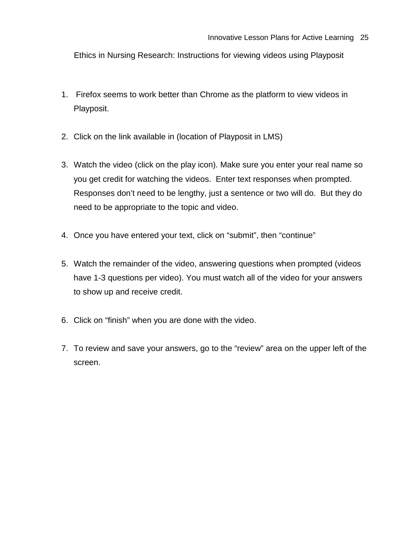Ethics in Nursing Research: Instructions for viewing videos using Playposit

- 1. Firefox seems to work better than Chrome as the platform to view videos in Playposit.
- 2. Click on the link available in (location of Playposit in LMS)
- 3. Watch the video (click on the play icon). Make sure you enter your real name so you get credit for watching the videos. Enter text responses when prompted. Responses don't need to be lengthy, just a sentence or two will do. But they do need to be appropriate to the topic and video.
- 4. Once you have entered your text, click on "submit", then "continue"
- 5. Watch the remainder of the video, answering questions when prompted (videos have 1-3 questions per video). You must watch all of the video for your answers to show up and receive credit.
- 6. Click on "finish" when you are done with the video.
- 7. To review and save your answers, go to the "review" area on the upper left of the screen.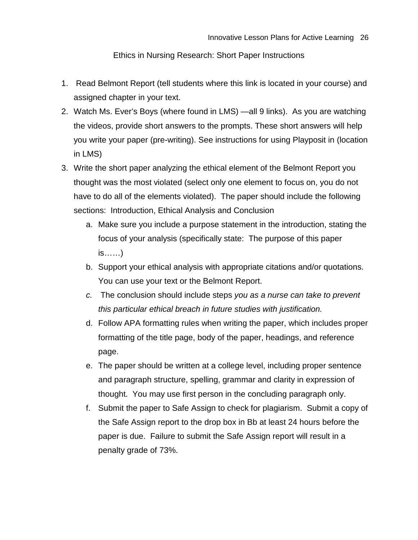Ethics in Nursing Research: Short Paper Instructions

- 1. Read Belmont Report (tell students where this link is located in your course) and assigned chapter in your text.
- 2. Watch Ms. Ever's Boys (where found in LMS) —all 9 links). As you are watching the videos, provide short answers to the prompts. These short answers will help you write your paper (pre-writing). See instructions for using Playposit in (location in LMS)
- 3. Write the short paper analyzing the ethical element of the Belmont Report you thought was the most violated (select only one element to focus on, you do not have to do all of the elements violated). The paper should include the following sections: Introduction, Ethical Analysis and Conclusion
	- a. Make sure you include a purpose statement in the introduction, stating the focus of your analysis (specifically state: The purpose of this paper is……)
	- b. Support your ethical analysis with appropriate citations and/or quotations. You can use your text or the Belmont Report.
	- *c.* The conclusion should include steps *you as a nurse can take to prevent this particular ethical breach in future studies with justification.*
	- d. Follow APA formatting rules when writing the paper, which includes proper formatting of the title page, body of the paper, headings, and reference page.
	- e. The paper should be written at a college level, including proper sentence and paragraph structure, spelling, grammar and clarity in expression of thought. You may use first person in the concluding paragraph only.
	- f. Submit the paper to Safe Assign to check for plagiarism. Submit a copy of the Safe Assign report to the drop box in Bb at least 24 hours before the paper is due. Failure to submit the Safe Assign report will result in a penalty grade of 73%.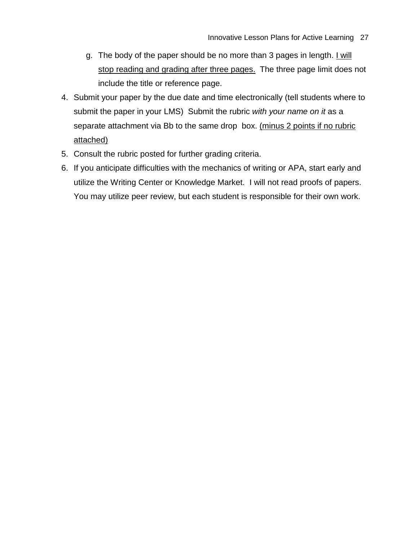- g. The body of the paper should be no more than 3 pages in length. I will stop reading and grading after three pages. The three page limit does not include the title or reference page.
- 4. Submit your paper by the due date and time electronically (tell students where to submit the paper in your LMS) Submit the rubric *with your name on it* as a separate attachment via Bb to the same drop box. (minus 2 points if no rubric attached)
- 5. Consult the rubric posted for further grading criteria.
- 6. If you anticipate difficulties with the mechanics of writing or APA, start early and utilize the Writing Center or Knowledge Market. I will not read proofs of papers. You may utilize peer review, but each student is responsible for their own work.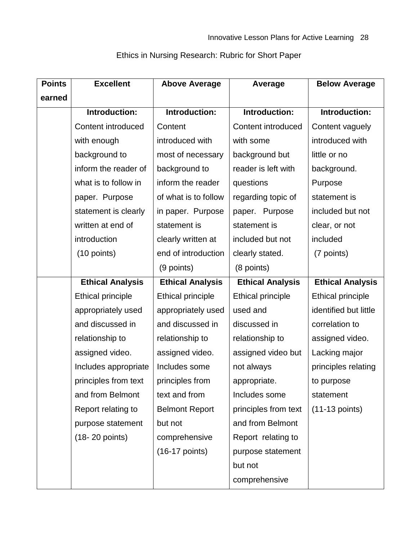| <b>Points</b> | <b>Excellent</b>          | <b>Above Average</b>     | Average                   | <b>Below Average</b>    |
|---------------|---------------------------|--------------------------|---------------------------|-------------------------|
| earned        |                           |                          |                           |                         |
|               | Introduction:             | Introduction:            | Introduction:             | Introduction:           |
|               | <b>Content introduced</b> | Content                  | <b>Content introduced</b> | Content vaguely         |
|               | with enough               | introduced with          | with some                 | introduced with         |
|               | background to             | most of necessary        | background but            | little or no            |
|               | inform the reader of      | background to            | reader is left with       | background.             |
|               | what is to follow in      | inform the reader        | questions                 | Purpose                 |
|               | paper. Purpose            | of what is to follow     | regarding topic of        | statement is            |
|               | statement is clearly      | in paper. Purpose        | paper. Purpose            | included but not        |
|               | written at end of         | statement is             | statement is              | clear, or not           |
|               | introduction              | clearly written at       | included but not          | included                |
|               | $(10 \text{ points})$     | end of introduction      | clearly stated.           | (7 points)              |
|               |                           | (9 points)               | (8 points)                |                         |
|               | <b>Ethical Analysis</b>   | <b>Ethical Analysis</b>  | <b>Ethical Analysis</b>   | <b>Ethical Analysis</b> |
|               | <b>Ethical principle</b>  | <b>Ethical principle</b> | <b>Ethical principle</b>  | Ethical principle       |
|               | appropriately used        | appropriately used       | used and                  | identified but little   |
|               | and discussed in          | and discussed in         | discussed in              | correlation to          |
|               | relationship to           | relationship to          | relationship to           | assigned video.         |
|               | assigned video.           | assigned video.          | assigned video but        | Lacking major           |
|               | Includes appropriate      | Includes some            | not always                | principles relating     |
|               | principles from text      | principles from          | appropriate.              | to purpose              |
|               | and from Belmont          | text and from            | Includes some             | statement               |
|               | Report relating to        | <b>Belmont Report</b>    | principles from text      | $(11-13$ points)        |
|               | purpose statement         | but not                  | and from Belmont          |                         |
|               | $(18-20$ points)          | comprehensive            | Report relating to        |                         |
|               |                           | $(16-17$ points)         | purpose statement         |                         |
|               |                           |                          | but not                   |                         |
|               |                           |                          | comprehensive             |                         |

## Ethics in Nursing Research: Rubric for Short Paper